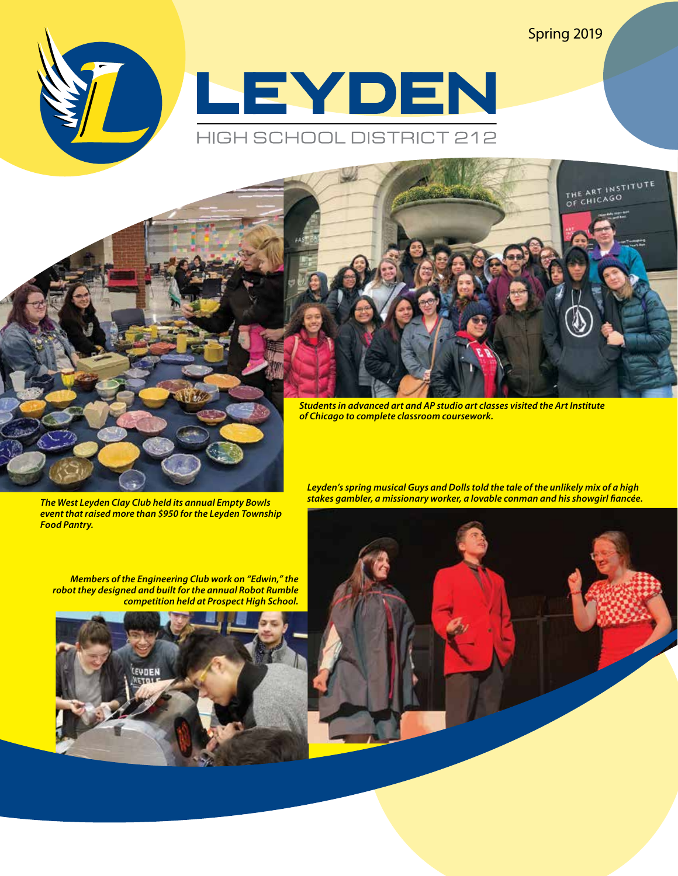Spring 2019

THE ART INSTITUTE





*Students in advanced art and AP studio art classes visited the Art Institute of Chicago to complete classroom coursework.*

*The West Leyden Clay Club held its annual Empty Bowls event that raised more than \$950 for the Leyden Township Food Pantry.* 

*stakes gambler, a missionary worker, a lovable conman and his showgirl fiancée.* 

*Leyden's spring musical Guys and Dolls told the tale of the unlikely mix of a high* 

*Members of the Engineering Club work on "Edwin," the robot they designed and built for the annual Robot Rumble competition held at Prospect High School.* 



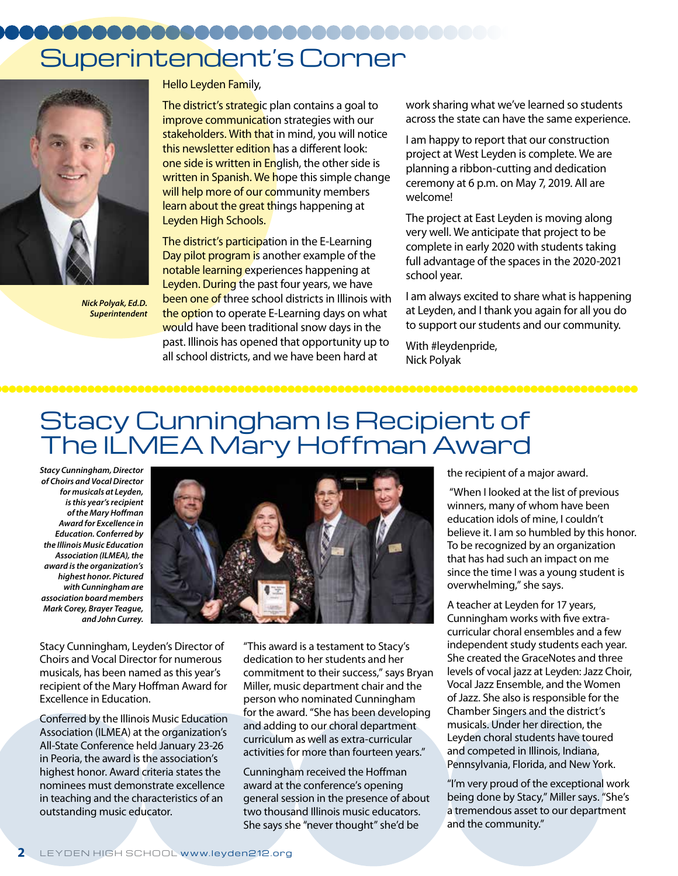## Superintendent's Corner



*Nick Polyak, Ed.D. Superintendent*

Hello Leyden Family,

The district's strategic plan contains a goal to improve communication strategies with our stakeholders. With that in mind, you will notice this newsletter edition has a different look: one side is written in English, the other side is written in Spanish. We hope this simple change will help more of our community members learn about the great things happening at Leyden High Schools.

The district's participation in the E-Learning Day pilot program is another example of the notable learning experiences happening at Leyden. During the past four years, we have been one of three school districts in Illinois with the option to operate E-Learning days on what would have been traditional snow days in the past. Illinois has opened that opportunity up to all school districts, and we have been hard at

work sharing what we've learned so students across the state can have the same experience.

I am happy to report that our construction project at West Leyden is complete. We are planning a ribbon-cutting and dedication ceremony at 6 p.m. on May 7, 2019. All are welcome!

The project at East Leyden is moving along very well. We anticipate that project to be complete in early 2020 with students taking full advantage of the spaces in the 2020-2021 school year.

I am always excited to share what is happening at Leyden, and I thank you again for all you do to support our students and our community.

With #leydenpride, Nick Polyak

## Stacy Cunningham Is Recipient of The ILMEA Mary Hoffman Award

*Stacy Cunningham, Director of Choirs and Vocal Director for musicals at Leyden, is this year's recipient of the Mary Hoffman Award for Excellence in Education. Conferred by the Illinois Music Education Association (ILMEA), the award is the organization's highest honor. Pictured with Cunningham are association board members Mark Corey, Brayer Teague, and John Currey.*



Stacy Cunningham, Leyden's Director of Choirs and Vocal Director for numerous musicals, has been named as this year's recipient of the Mary Hoffman Award for Excellence in Education.

Conferred by the Illinois Music Education Association (ILMEA) at the organization's All-State Conference held January 23-26 in Peoria, the award is the association's highest honor. Award criteria states the nominees must demonstrate excellence in teaching and the characteristics of an outstanding music educator.

"This award is a testament to Stacy's dedication to her students and her commitment to their success," says Bryan Miller, music department chair and the person who nominated Cunningham for the award. "She has been developing and adding to our choral department curriculum as well as extra-curricular activities for more than fourteen years."

Cunningham received the Hoffman award at the conference's opening general session in the presence of about two thousand Illinois music educators. She says she "never thought" she'd be

the recipient of a major award.

 "When I looked at the list of previous winners, many of whom have been education idols of mine, I couldn't believe it. I am so humbled by this honor. To be recognized by an organization that has had such an impact on me since the time I was a young student is overwhelming," she says.

,,,,,,,,,,,,,,,,,,,,,,,,

A teacher at Leyden for 17 years, Cunningham works with five extracurricular choral ensembles and a few independent study students each year. She created the GraceNotes and three levels of vocal jazz at Leyden: Jazz Choir, Vocal Jazz Ensemble, and the Women of Jazz. She also is responsible for the Chamber Singers and the district's musicals. Under her direction, the Leyden choral students have toured and competed in Illinois, Indiana, Pennsylvania, Florida, and New York.

"I'm very proud of the exceptional work being done by Stacy," Miller says. "She's a tremendous asset to our department and the community."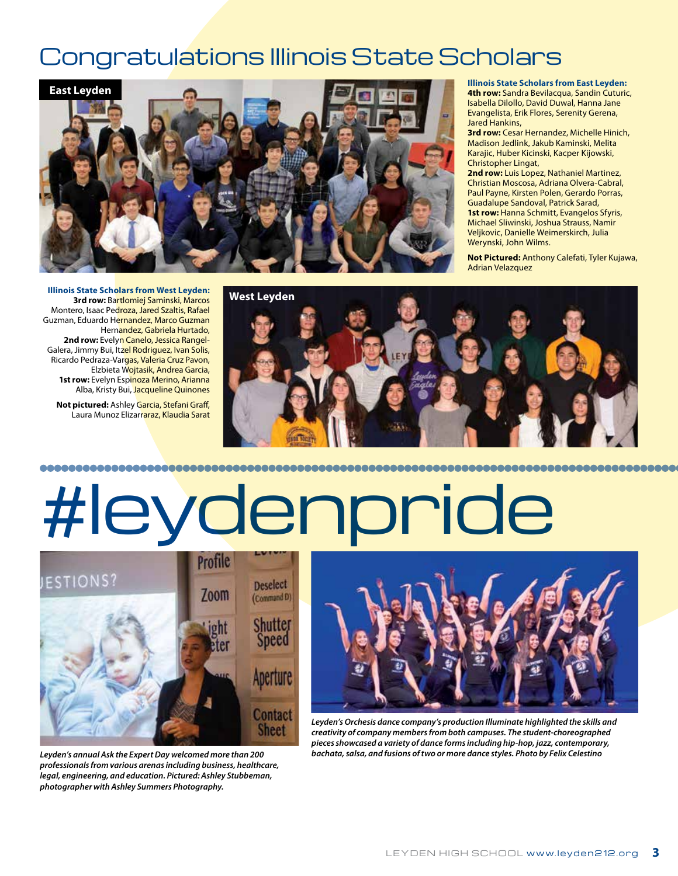## Congratulations Illinois State Scholars



**Illinois State Scholars from East Leyden: 4th row:** Sandra Bevilacqua, Sandin Cuturic, Isabella Dilollo, David Duwal, Hanna Jane Evangelista, Erik Flores, Serenity Gerena, Jared Hankins,

**3rd row:** Cesar Hernandez, Michelle Hinich, Madison Jedlink, Jakub Kaminski, Melita Karajic, Huber Kicinski, Kacper Kijowski, Christopher Lingat,

**2nd row:** Luis Lopez, Nathaniel Martinez, Christian Moscosa, Adriana Olvera-Cabral, Paul Payne, Kirsten Polen, Gerardo Porras, Guadalupe Sandoval, Patrick Sarad, **1st row:** Hanna Schmitt, Evangelos Sfyris, Michael Sliwinski, Joshua Strauss, Namir Veljkovic, Danielle Weimerskirch, Julia Werynski, John Wilms.

**Not Pictured:** Anthony Calefati, Tyler Kujawa, Adrian Velazquez

**Illinois State Scholars from West Leyden: 3rd row:** Bartlomiej Saminski, Marcos Montero, Isaac Pedroza, Jared Szaltis, Rafael Guzman, Eduardo Hernandez, Marco Guzman Hernandez, Gabriela Hurtado, 2nd row: Evelyn Canelo, Jessica Rangel-Galera, Jimmy Bui, Itzel Rodriguez, Ivan Solis, Ricardo Pedraza-Vargas, Valeria Cruz Pavon, Elzbieta Wojtasik, Andrea Garcia, 1st row: Evelyn Espinoza Merino, Arianna Alba, Kristy Bui, Jacqueline Quinones

**Not pictured:** Ashley Garcia, Stefani Graff, Laura Munoz Elizarraraz, Klaudia Sarat



# #leydenpride



*Leyden's annual Ask the Expert Day welcomed more than 200 professionals from various arenas including business, healthcare, legal, engineering, and education. Pictured: Ashley Stubbeman, photographer with Ashley Summers Photography.*



*Leyden's Orchesis dance company's production Illuminate highlighted the skills and creativity of company members from both campuses. The student-choreographed pieces showcased a variety of dance forms including hip-hop, jazz, contemporary, bachata, salsa, and fusions of two or more dance styles. Photo by Felix Celestino*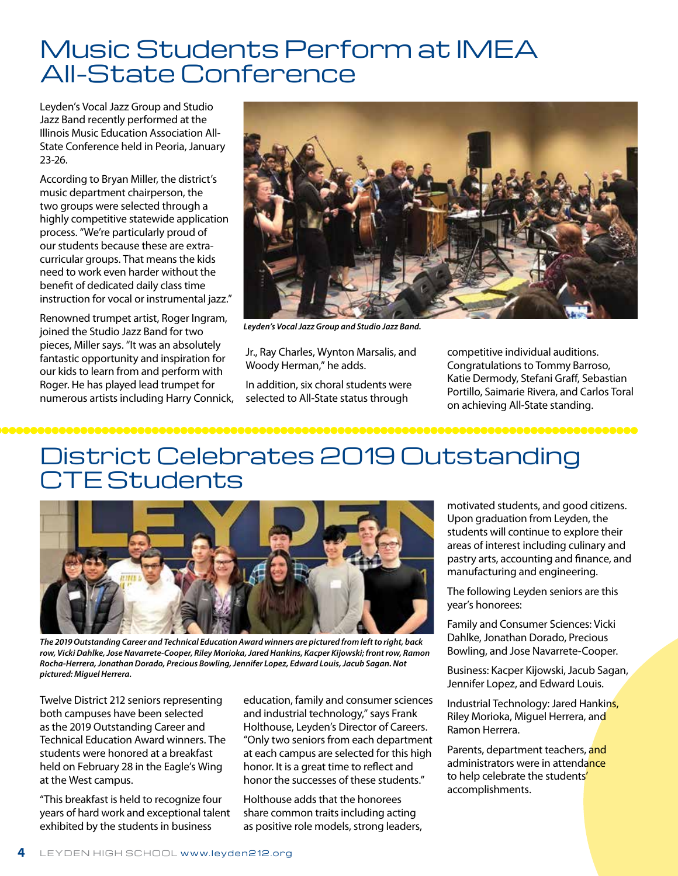## Music Students Perform at IMEA All-State Conference

Leyden's Vocal Jazz Group and Studio Jazz Band recently performed at the Illinois Music Education Association All-State Conference held in Peoria, January 23-26.

According to Bryan Miller, the district's music department chairperson, the two groups were selected through a highly competitive statewide application process. "We're particularly proud of our students because these are extracurricular groups. That means the kids need to work even harder without the benefit of dedicated daily class time instruction for vocal or instrumental jazz."

Renowned trumpet artist, Roger Ingram, joined the Studio Jazz Band for two pieces, Miller says. "It was an absolutely fantastic opportunity and inspiration for our kids to learn from and perform with Roger. He has played lead trumpet for numerous artists including Harry Connick,



*Leyden's Vocal Jazz Group and Studio Jazz Band.*

Jr., Ray Charles, Wynton Marsalis, and Woody Herman," he adds.

In addition, six choral students were selected to All-State status through

competitive individual auditions. Congratulations to Tommy Barroso, Katie Dermody, Stefani Graff, Sebastian Portillo, Saimarie Rivera, and Carlos Toral on achieving All-State standing.

66666666

## District Celebrates 2019 Outstanding **TE Students**



*The 2019 Outstanding Career and Technical Education Award winners are pictured from left to right, back row, Vicki Dahlke, Jose Navarrete-Cooper, Riley Morioka, Jared Hankins, Kacper Kijowski; front row, Ramon Rocha-Herrera, Jonathan Dorado, Precious Bowling, Jennifer Lopez, Edward Louis, Jacub Sagan. Not pictured: Miguel Herrera.*

Twelve District 212 seniors representing both campuses have been selected as the 2019 Outstanding Career and Technical Education Award winners. The students were honored at a breakfast held on February 28 in the Eagle's Wing at the West campus.

"This breakfast is held to recognize four years of hard work and exceptional talent exhibited by the students in business

education, family and consumer sciences and industrial technology," says Frank Holthouse, Leyden's Director of Careers. "Only two seniors from each department at each campus are selected for this high honor. It is a great time to reflect and honor the successes of these students."

Holthouse adds that the honorees share common traits including acting as positive role models, strong leaders, motivated students, and good citizens. Upon graduation from Leyden, the students will continue to explore their areas of interest including culinary and pastry arts, accounting and finance, and manufacturing and engineering.

The following Leyden seniors are this year's honorees:

Family and Consumer Sciences: Vicki Dahlke, Jonathan Dorado, Precious Bowling, and Jose Navarrete-Cooper.

Business: Kacper Kijowski, Jacub Sagan, Jennifer Lopez, and Edward Louis.

Industrial Technology: Jared Hankins, Riley Morioka, Miguel Herrera, and Ramon Herrera.

Parents, department teachers, and administrators were in attendance to help celebrate the students' accomplishments.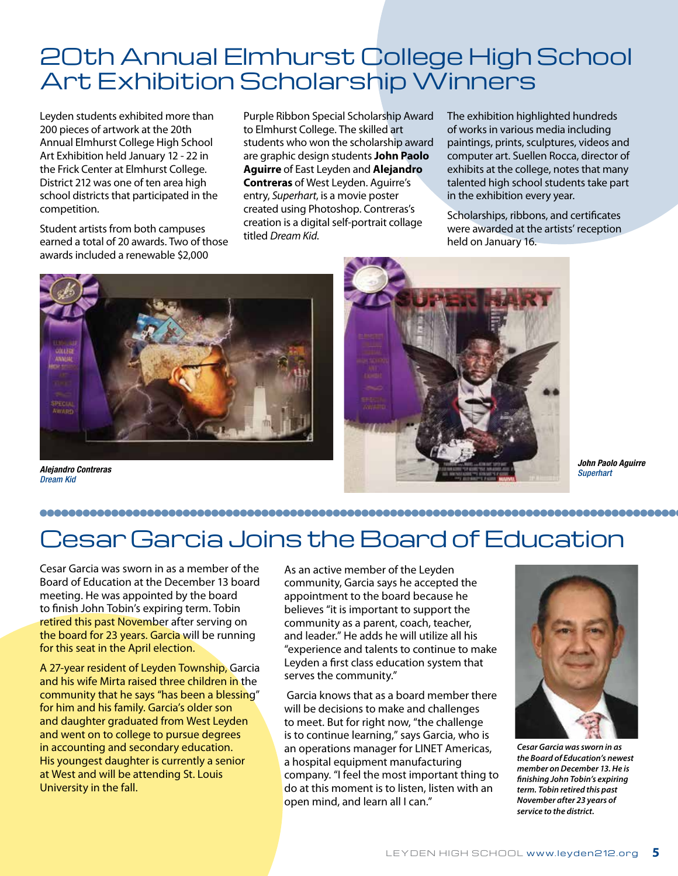## 20th Annual Elmhurst College High School Art Exhibition Scholarship Winners

Leyden students exhibited more than 200 pieces of artwork at the 20th Annual Elmhurst College High School Art Exhibition held January 12 - 22 in the Frick Center at Elmhurst College. District 212 was one of ten area high school districts that participated in the competition.

Student artists from both campuses earned a total of 20 awards. Two of those awards included a renewable \$2,000

Purple Ribbon Special Scholarship Award to Elmhurst College. The skilled art students who won the scholarship award are graphic design students **John Paolo Aguirre** of East Leyden and **Alejandro Contreras** of West Leyden. Aguirre's entry, *Superhart*, is a movie poster created using Photoshop. Contreras's creation is a digital self-portrait collage titled *Dream Kid*.

The exhibition highlighted hundreds of works in various media including paintings, prints, sculptures, videos and computer art. Suellen Rocca, director of exhibits at the college, notes that many talented high school students take part in the exhibition every year.

Scholarships, ribbons, and certificates were awarded at the artists' reception held on January 16.



*Dream Kid*



*John Paolo Aguirre*

#### 

## Cesar Garcia Joins the Board of Education

Cesar Garcia was sworn in as a member of the Board of Education at the December 13 board meeting. He was appointed by the board to finish John Tobin's expiring term. Tobin retired this past November after serving on the board for 23 years. Garcia will be running for this seat in the April election.

A 27-year resident of Leyden Township, Garcia and his wife Mirta raised three children in the community that he says "has been a blessing" for him and his family. Garcia's older son and daughter graduated from West Leyden and went on to college to pursue degrees in accounting and secondary education. His youngest daughter is currently a senior at West and will be attending St. Louis University in the fall.

As an active member of the Leyden community, Garcia says he accepted the appointment to the board because he believes "it is important to support the community as a parent, coach, teacher, and leader." He adds he will utilize all his "experience and talents to continue to make Leyden a first class education system that serves the community."

 Garcia knows that as a board member there will be decisions to make and challenges to meet. But for right now, "the challenge is to continue learning," says Garcia, who is an operations manager for LINET Americas, a hospital equipment manufacturing company. "I feel the most important thing to do at this moment is to listen, listen with an open mind, and learn all I can."



*Cesar Garcia was sworn in as the Board of Education's newest member on December 13. He is finishing John Tobin's expiring term. Tobin retired this past November after 23 years of service to the district.*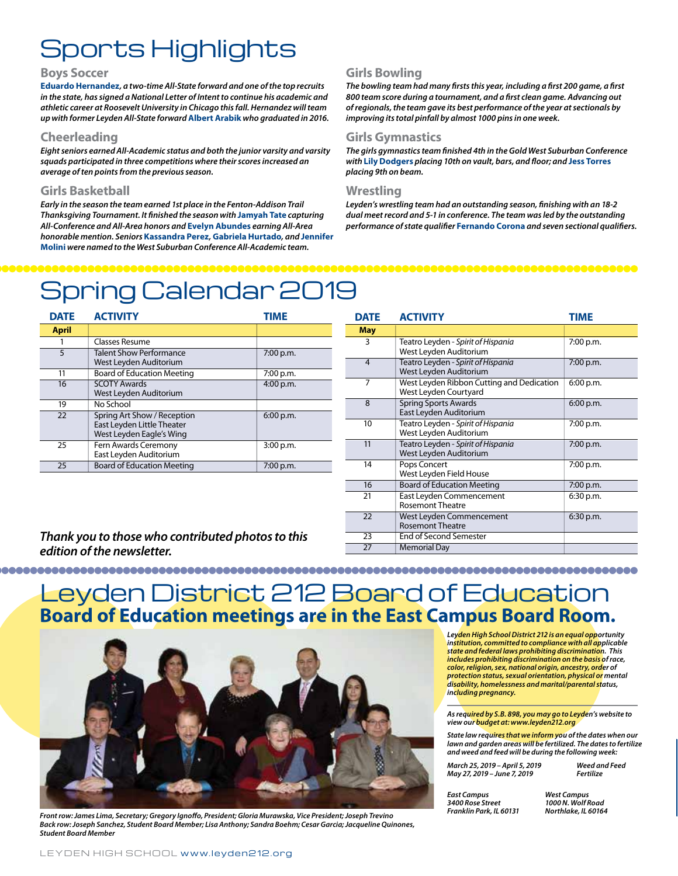## Sports Highlights

#### **Boys Soccer**

**Eduardo Hernandez***, a two-time All-State forward and one of the top recruits in the state, has signed a National Letter of Intent to continue his academic and athletic career at Roosevelt University in Chicago this fall. Hernandez will team up with former Leyden All-State forward* **Albert Arabik** *who graduated in 2016.* 

#### **Cheerleading**

*Eight seniors earned All-Academic status and both the junior varsity and varsity squads participated in three competitions where their scores increased an average of ten points from the previous season.* 

#### **Girls Basketball**

*Early in the season the team earned 1st place in the Fenton-Addison Trail Thanksgiving Tournament. It finished the season with* **Jamyah Tate** *capturing All-Conference and All-Area honors and* **Evelyn Abundes** *earning All-Area honorable mention. Seniors* **Kassandra Perez***,* **Gabriela Hurtado***, and* **Jennifer Molini** *were named to the West Suburban Conference All-Academic team.* 

#### **Girls Bowling**

*The bowling team had many firsts this year, including a first 200 game, a first 800 team score during a tournament, and a first clean game. Advancing out of regionals, the team gave its best performance of the year at sectionals by improving its total pinfall by almost 1000 pins in one week.* 

#### **Girls Gymnastics**

*The girls gymnastics team finished 4th in the Gold West Suburban Conference with* **Lily Dodgers** *placing 10th on vault, bars, and floor; and* **Jess Torres**  *placing 9th on beam.* 

#### **Wrestling**

*Leyden's wrestling team had an outstanding season, finishing with an 18-2 dual meet record and 5-1 in conference. The team was led by the outstanding performance of state qualifier* **Fernando Corona** *and seven sectional qualifiers.*

## Spring Calendar 2019

| <b>DATE</b>  | <b>ACTIVITY</b>                                                                       | <b>TIME</b> |
|--------------|---------------------------------------------------------------------------------------|-------------|
| <b>April</b> |                                                                                       |             |
|              | Classes Resume                                                                        |             |
| 5            | <b>Talent Show Performance</b><br>West Leyden Auditorium                              | 7:00 p.m.   |
| 11           | <b>Board of Education Meeting</b>                                                     | 7:00 p.m.   |
| 16           | <b>SCOTY Awards</b><br>West Leyden Auditorium                                         | 4:00 p.m.   |
| 19           | No School                                                                             |             |
| 22           | Spring Art Show / Reception<br>East Leyden Little Theater<br>West Leyden Eagle's Wing | 6:00 p.m.   |
| 25           | Fern Awards Ceremony<br>East Leyden Auditorium                                        | 3:00 p.m.   |
| 25           | <b>Board of Education Meeting</b>                                                     | 7:00 p.m.   |

| <b>DATE</b>    | <b>ACTIVITY</b>                                                    | TIME      |
|----------------|--------------------------------------------------------------------|-----------|
| <b>May</b>     |                                                                    |           |
| 3              | Teatro Leyden - Spirit of Hispania<br>West Leyden Auditorium       | 7:00 p.m. |
| $\overline{4}$ | Teatro Leyden - Spirit of Hispania<br>West Leyden Auditorium       | 7:00 p.m. |
| 7              | West Leyden Ribbon Cutting and Dedication<br>West Leyden Courtyard | 6:00 p.m. |
| 8              | <b>Spring Sports Awards</b><br>East Leyden Auditorium              | 6:00 p.m. |
| 10             | Teatro Leyden - Spirit of Hispania<br>West Leyden Auditorium       | 7:00 p.m. |
| 11             | Teatro Leyden - Spirit of Hispania<br>West Leyden Auditorium       | 7:00 p.m. |
| 14             | Pops Concert<br>West Leyden Field House                            | 7:00 p.m. |
| 16             | <b>Board of Education Meeting</b>                                  | 7:00 p.m. |
| 21             | East Leyden Commencement<br><b>Rosemont Theatre</b>                | 6:30 p.m. |
| 22             | West Leyden Commencement<br><b>Rosemont Theatre</b>                | 6:30 p.m. |
| 23             | <b>End of Second Semester</b>                                      |           |
| 27             | <b>Memorial Day</b>                                                |           |

#### *Thank you to those who contributed photos to this edition of the newsletter.*

### **Board of Education meetings are in the East Campus Board Room.** Leyden District 212 Board of Education



*Northlake, IL 60164 Front row: James Lima, Secretary; Gregory Ignoffo, President; Gloria Murawska, Vice President; Joseph Trevino Back row: Joseph Sanchez, Student Board Member; Lisa Anthony; Sandra Boehm; Cesar Garcia; Jacqueline Quinones, Student Board Member*

*Leyden High School District 212 is an equal opportunity institution, committed to compliance with all applicable state and federal laws prohibiting discrimination. This includes prohibiting discrimination on the basis of race, color, religion, sex, national origin, ancestry, order of protection status, sexual orientation, physical or mental disability, homelessness and marital/parental status, including pregnancy.*

*As required by S.B. 898, you may go to Leyden's website to view our budget at: www.leyden212.org* 

*State law requires that we inform you of the dates when our lawn and garden areas will be fertilized. The dates to fertilize and weed and feed will be during the following week:* 

| March 25, 2019 - April 5, 20 |
|------------------------------|
| May 27, 2019 - June 7, 2019  |

*March 25, 2019 – April 5, 2019 Weed and Feed May 27, 2019 – June 7, 2019 Fertilize*

*East Campus 3400 Rose Street Franklin Park, IL 60131*

*West Campus 1000 N. Wolf Road*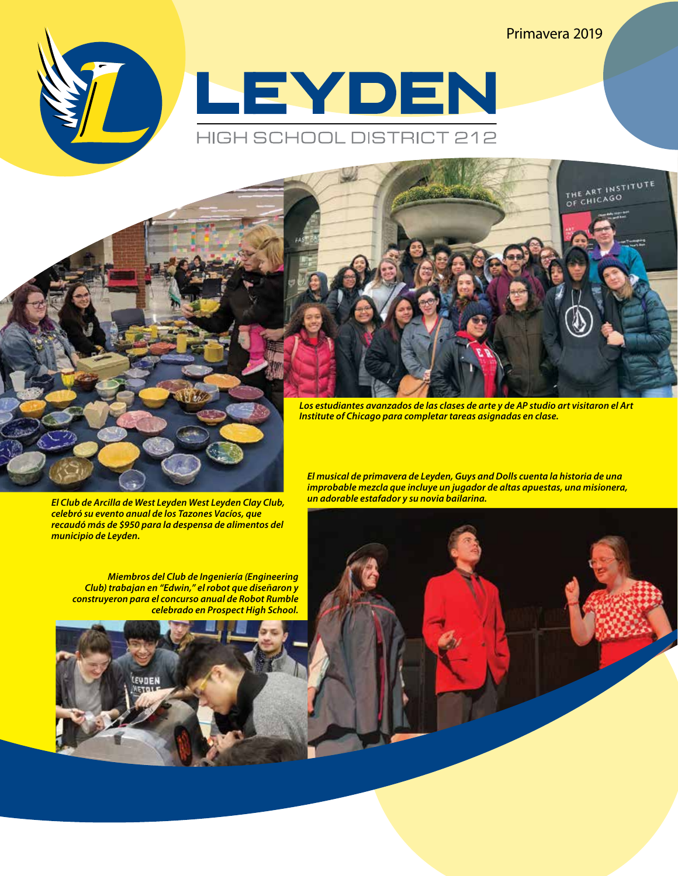Primavera 2019

THE ART INSTITUTE





*Institute of Chicago para completar tareas asignadas en clase.*

*El Club de Arcilla de West Leyden West Leyden Clay Club, celebró su evento anual de los Tazones Vacíos, que recaudó más de \$950 para la despensa de alimentos del municipio de Leyden.*

*Miembros del Club de Ingeniería (Engineering Club) trabajan en "Edwin," el robot que diseñaron y construyeron para el concurso anual de Robot Rumble celebrado en Prospect High School.*



*El musical de primavera de Leyden, Guys and Dolls cuenta la historia de una improbable mezcla que incluye un jugador de altas apuestas, una misionera, un adorable estafador y su novia bailarina.*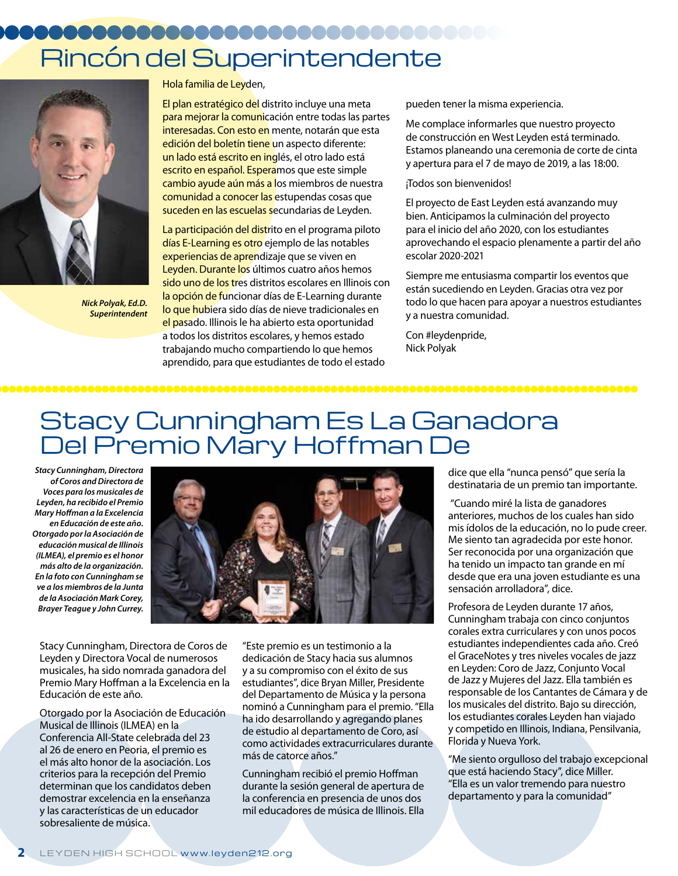## Rincón del Superintendente



*Nick Polyak, Ed.D. Superintendent*

Hola familia de Leyden,

El plan estratégico del distrito incluye una meta para mejorar la comunicación entre todas las partes interesadas. Con esto en mente, notarán que esta edición del boletín tiene un aspecto diferente: un lado está escrito en inglés, el otro lado está escrito en español. Esperamos que este simple cambio ayude aún más a los miembros de nuestra comunidad a conocer las estupendas cosas que suceden en las escuelas secundarias de Leyden.

La participación del distrito en el programa piloto días E-Learning es otro ejemplo de las notables experiencias de aprendizaje que se viven en Leyden. Durante los últimos cuatro años hemos sido uno de los tres distritos escolares en Illinois con la opción de funcionar días de E-Learning durante lo que hubiera sido días de nieve tradicionales en el pasado. Illinois le ha abierto esta oportunidad a todos los distritos escolares, y hemos estado trabajando mucho compartiendo lo que hemos aprendido, para que estudiantes de todo el estado

pueden tener la misma experiencia.

Me complace informarles que nuestro proyecto de construcción en West Leyden está terminado. Estamos planeando una ceremonia de corte de cinta y apertura para el 7 de mayo de 2019, a las 18:00.

#### ¡Todos son bienvenidos!

El proyecto de East Leyden está avanzando muy bien. Anticipamos la culminación del proyecto para el inicio del año 2020, con los estudiantes aprovechando el espacio plenamente a partir del año escolar 2020-2021

Siempre me entusiasma compartir los eventos que están sucediendo en Leyden. Gracias otra vez por todo lo que hacen para apoyar a nuestros estudiantes y a nuestra comunidad.

Con #leydenpride, Nick Polyak

## Stacy Cunningham Es La Ganadora Del Premio Mary Hoffman De

*Stacy Cunningham, Directora of Coros and Directora de Voces para los musicales de Leyden, ha recibido el Premio Mary Hoffman a la Excelencia en Educación de este año. Otorgado por la Asociación de educación musical de Illinois (ILMEA), el premio es el honor más alto de la organización. En la foto con Cunningham se ve a los miembros de la Junta de la Asociación Mark Corey, Brayer Teague y John Currey.*



Stacy Cunningham, Directora de Coros de Leyden y Directora Vocal de numerosos musicales, ha sido nomrada ganadora del Premio Mary Hoffman a la Excelencia en la Educación de este año.

Otorgado por la Asociación de Educación Musical de Illinois (ILMEA) en la Conferencia All-State celebrada del 23 al 26 de enero en Peoria, el premio es el más alto honor de la asociación. Los criterios para la recepción del Premio determinan que los candidatos deben demostrar excelencia en la enseñanza y las características de un educador sobresaliente de música.

"Este premio es un testimonio a la dedicación de Stacy hacia sus alumnos y a su compromiso con el éxito de sus estudiantes", dice Bryan Miller, Presidente del Departamento de Música y la persona nominó a Cunningham para el premio. "Ella ha ido desarrollando y agregando planes de estudio al departamento de Coro, así como actividades extracurriculares durante más de catorce años."

Cunningham recibió el premio Hoffman durante la sesión general de apertura de la conferencia en presencia de unos dos mil educadores de música de Illinois. Ella

dice que ella "nunca pensó" que sería la destinataria de un premio tan importante.

 "Cuando miré la lista de ganadores anteriores, muchos de los cuales han sido mis ídolos de la educación, no lo pude creer. Me siento tan agradecida por este honor. Ser reconocida por una organización que ha tenido un impacto tan grande en mí desde que era una joven estudiante es una sensación arrolladora", dice.

Profesora de Leyden durante 17 años, Cunningham trabaja con cinco conjuntos corales extra curriculares y con unos pocos estudiantes independientes cada año. Creó el GraceNotes y tres niveles vocales de jazz en Leyden: Coro de Jazz, Conjunto Vocal de Jazz y Mujeres del Jazz. Ella también es responsable de los Cantantes de Cámara y de los musicales del distrito. Bajo su dirección, los estudiantes corales Leyden han viajado y competido en Illinois, Indiana, Pensilvania, Florida y Nueva York.

"Me siento orgulloso del trabajo excepcional que está haciendo Stacy", dice Miller. "Ella es un valor tremendo para nuestro departamento y para la comunidad"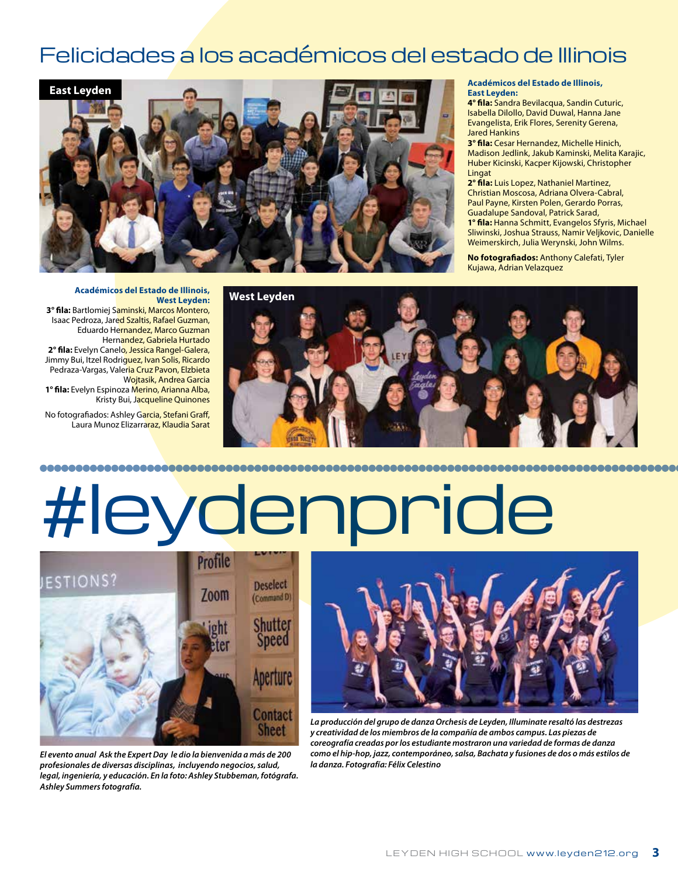### Felicidades a los académicos del estado de Illinois



#### **Académicos del Estado de Illinois, East Leyden:**

**4° fila:** Sandra Bevilacqua, Sandin Cuturic, Isabella Dilollo, David Duwal, Hanna Jane Evangelista, Erik Flores, Serenity Gerena, Jared Hankins

**3° fila:** Cesar Hernandez, Michelle Hinich, Madison Jedlink, Jakub Kaminski, Melita Karajic, Huber Kicinski, Kacper Kijowski, Christopher Lingat

**2° fila:** Luis Lopez, Nathaniel Martinez, Christian Moscosa, Adriana Olvera-Cabral, Paul Payne, Kirsten Polen, Gerardo Porras, Guadalupe Sandoval, Patrick Sarad,

**1° fila:** Hanna Schmitt, Evangelos Sfyris, Michael Sliwinski, Joshua Strauss, Namir Veljkovic, Danielle Weimerskirch, Julia Werynski, John Wilms.

**No fotografiados:** Anthony Calefati, Tyler Kujawa, Adrian Velazquez

**Académicos del Estado de Illinois, West Leyden: 3° fila:** Bartlomiej Saminski, Marcos Montero, Isaac Pedroza, Jared Szaltis, Rafael Guzman, Eduardo Hernandez, Marco Guzman Hernandez, Gabriela Hurtado **2° fila:** Evelyn Canelo, Jessica Rangel-Galera, Jimmy Bui, Itzel Rodriguez, Ivan Solis, Ricardo Pedraza-Vargas, Valeria Cruz Pavon, Elzbieta Wojtasik, Andrea Garcia **1° fila:** Evelyn Espinoza Merino, Arianna Alba, Kristy Bui, Jacqueline Quinones

No fotografiados: Ashley Garcia, Stefani Graff, Laura Munoz Elizarraraz, Klaudia Sarat



# #leydenpride



*El evento anual Ask the Expert Day le dio la bienvenida a más de 200 profesionales de diversas disciplinas, incluyendo negocios, salud, legal, ingeniería, y educación. En la foto: Ashley Stubbeman, fotógrafa. Ashley Summers fotografía.*



*La producción del grupo de danza Orchesis de Leyden, Illuminate resaltó las destrezas y creatividad de los miembros de la compañía de ambos campus. Las piezas de coreografía creadas por los estudiante mostraron una variedad de formas de danza como el hip-hop, jazz, contemporáneo, salsa, Bachata y fusiones de dos o más estilos de la danza. Fotografía: Félix Celestino*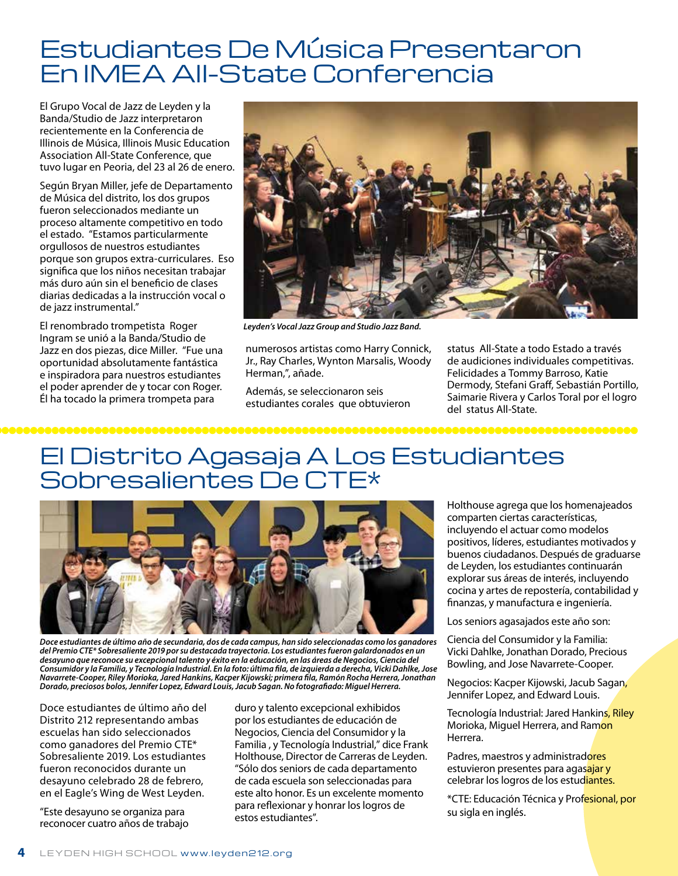## Estudiantes De Música Presentaron En IMEA All-State Conferencia

El Grupo Vocal de Jazz de Leyden y la Banda/Studio de Jazz interpretaron recientemente en la Conferencia de Illinois de Música, Illinois Music Education Association All-State Conference, que tuvo lugar en Peoria, del 23 al 26 de enero.

Según Bryan Miller, jefe de Departamento de Música del distrito, los dos grupos fueron seleccionados mediante un proceso altamente competitivo en todo el estado. "Estamos particularmente orgullosos de nuestros estudiantes porque son grupos extra-curriculares. Eso significa que los niños necesitan trabajar más duro aún sin el beneficio de clases diarias dedicadas a la instrucción vocal o de jazz instrumental."

El renombrado trompetista Roger Ingram se unió a la Banda/Studio de Jazz en dos piezas, dice Miller. "Fue una oportunidad absolutamente fantástica e inspiradora para nuestros estudiantes el poder aprender de y tocar con Roger. Él ha tocado la primera trompeta para



*Leyden's Vocal Jazz Group and Studio Jazz Band.*

numerosos artistas como Harry Connick, Jr., Ray Charles, Wynton Marsalis, Woody Herman,", añade.

Además, se seleccionaron seis estudiantes corales que obtuvieron status All-State a todo Estado a través de audiciones individuales competitivas. Felicidades a Tommy Barroso, Katie Dermody, Stefani Graff, Sebastián Portillo, Saimarie Rivera y Carlos Toral por el logro del status All-State.

,,,,,,,,,,,,,,

## El Distrito Agasaja A Los Estudiantes Sobresalientes De CTE\*



*Doce estudiantes de último año de secundaria, dos de cada campus, han sido seleccionadas como los ganadores del Premio CTE\* Sobresaliente 2019 por su destacada trayectoria. Los estudiantes fueron galardonados en un desayuno que reconoce su excepcional talento y éxito en la educación, en las áreas de Negocios, Ciencia del Consumidor y la Familia, y Tecnología Industrial. En la foto: última fila, de izquierda a derecha, Vicki Dahlke, Jose Navarrete-Cooper, Riley Morioka, Jared Hankins, Kacper Kijowski; primera fila, Ramón Rocha Herrera, Jonathan Dorado, preciosos bolos, Jennifer Lopez, Edward Louis, Jacub Sagan. No fotografiado: Miguel Herrera.*

Doce estudiantes de último año del Distrito 212 representando ambas escuelas han sido seleccionados como ganadores del Premio CTE\* Sobresaliente 2019. Los estudiantes fueron reconocidos durante un desayuno celebrado 28 de febrero, en el Eagle's Wing de West Leyden.

"Este desayuno se organiza para reconocer cuatro años de trabajo

duro y talento excepcional exhibidos por los estudiantes de educación de Negocios, Ciencia del Consumidor y la Familia , y Tecnología Industrial," dice Frank Holthouse, Director de Carreras de Leyden. "Sólo dos seniors de cada departamento de cada escuela son seleccionadas para este alto honor. Es un excelente momento para reflexionar y honrar los logros de estos estudiantes".

Holthouse agrega que los homenajeados comparten ciertas características, incluyendo el actuar como modelos positivos, líderes, estudiantes motivados y buenos ciudadanos. Después de graduarse de Leyden, los estudiantes continuarán explorar sus áreas de interés, incluyendo cocina y artes de repostería, contabilidad y finanzas, y manufactura e ingeniería.

Los seniors agasajados este año son:

Ciencia del Consumidor y la Familia: Vicki Dahlke, Jonathan Dorado, Precious Bowling, and Jose Navarrete-Cooper.

Negocios: Kacper Kijowski, Jacub Sagan, Jennifer Lopez, and Edward Louis.

Tecnología Industrial: Jared Hankins, Riley Morioka, Miguel Herrera, and Ramon Herrera.

Padres, maestros y administradores estuvieron presentes para agasajar y celebrar los logros de los estudiantes.

\*CTE: Educación Técnica y Profesional, por su sigla en inglés.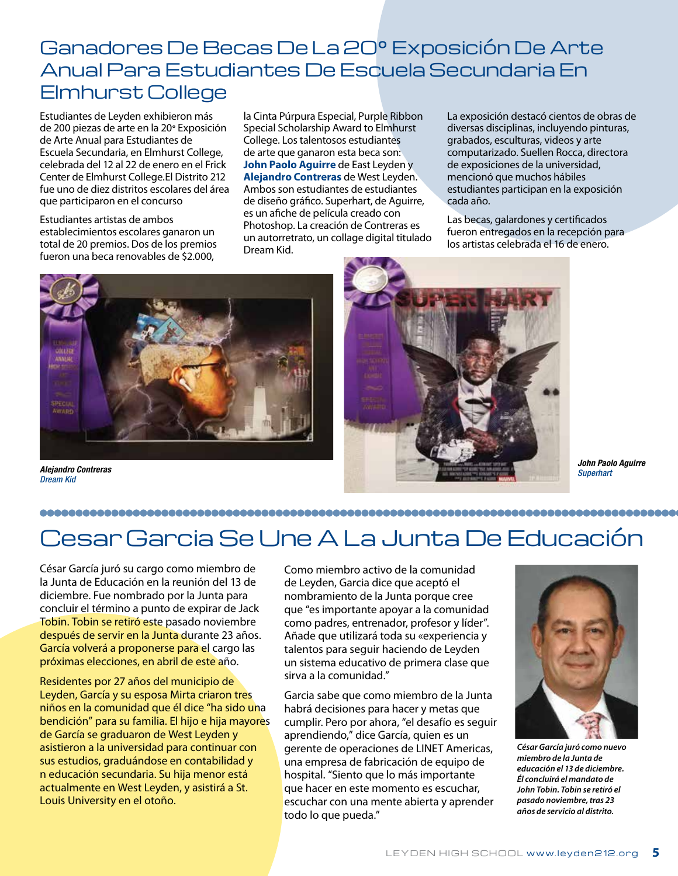### Ganadores De Becas De La 20° Exposición De Arte Anual Para Estudiantes De Escuela Secundaria En Elmhurst College

Estudiantes de Leyden exhibieron más de 200 piezas de arte en la 20**°** Exposición de Arte Anual para Estudiantes de Escuela Secundaria, en Elmhurst College, celebrada del 12 al 22 de enero en el Frick Center de Elmhurst College.El Distrito 212 fue uno de diez distritos escolares del área que participaron en el concurso

Estudiantes artistas de ambos establecimientos escolares ganaron un total de 20 premios. Dos de los premios fueron una beca renovables de \$2.000,

la Cinta Púrpura Especial, Purple Ribbon Special Scholarship Award to Elmhurst College. Los talentosos estudiantes de arte que ganaron esta beca son: **John Paolo Aguirre** de East Leyden y **Alejandro Contreras** de West Leyden. Ambos son estudiantes de estudiantes de diseño gráfico. Superhart, de Aguirre, es un afiche de película creado con Photoshop. La creación de Contreras es un autorretrato, un collage digital titulado Dream Kid.

La exposición destacó cientos de obras de diversas disciplinas, incluyendo pinturas, grabados, esculturas, videos y arte computarizado. Suellen Rocca, directora de exposiciones de la universidad, mencionó que muchos hábiles estudiantes participan en la exposición cada año.

Las becas, galardones y certificados fueron entregados en la recepción para los artistas celebrada el 16 de enero.



*Dream Kid*



*John Paolo Aguirre*

## 

## Cesar Garcia Se Une A La Junta De Educación

César García juró su cargo como miembro de la Junta de Educación en la reunión del 13 de diciembre. Fue nombrado por la Junta para concluir el término a punto de expirar de Jack Tobin. Tobin se retiró este pasado noviembre después de servir en la Junta durante 23 años. García volverá a proponerse para el cargo las próximas elecciones, en abril de este año.

Residentes por 27 años del municipio de Leyden, García y su esposa Mirta criaron tres niños en la comunidad que él dice "ha sido una bendición" para su familia. El hijo e hija mayores de García se graduaron de West Leyden y asistieron a la universidad para continuar con sus estudios, graduándose en contabilidad y n educación secundaria. Su hija menor está actualmente en West Leyden, y asistirá a St. Louis University en el otoño.

Como miembro activo de la comunidad de Leyden, Garcia dice que aceptó el nombramiento de la Junta porque cree que "es importante apoyar a la comunidad como padres, entrenador, profesor y líder". Añade que utilizará toda su «experiencia y talentos para seguir haciendo de Leyden un sistema educativo de primera clase que sirva a la comunidad."

Garcia sabe que como miembro de la Junta habrá decisiones para hacer y metas que cumplir. Pero por ahora, "el desafío es seguir aprendiendo," dice García, quien es un gerente de operaciones de LINET Americas, una empresa de fabricación de equipo de hospital. "Siento que lo más importante que hacer en este momento es escuchar, escuchar con una mente abierta y aprender todo lo que pueda."



*César García juró como nuevo miembro de la Junta de educación el 13 de diciembre. Él concluirá el mandato de John Tobin. Tobin se retiró el pasado noviembre, tras 23 años de servicio al distrito.*